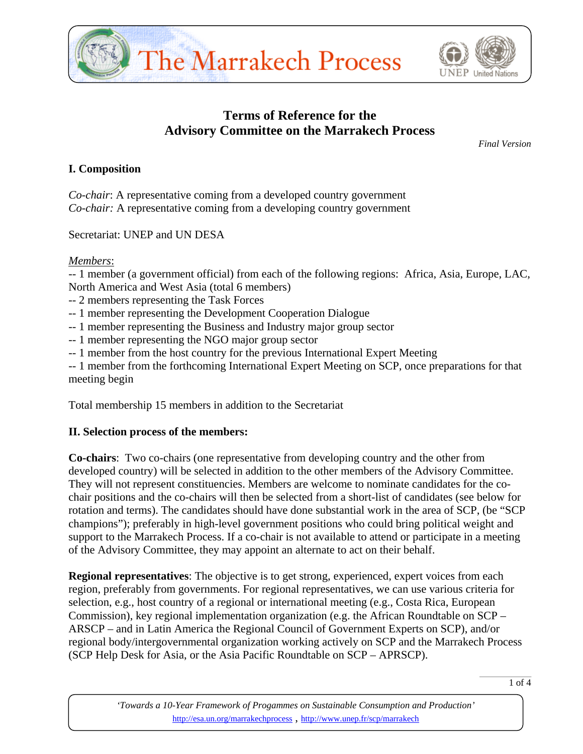



# **Terms of Reference for the Advisory Committee on the Marrakech Process**

*Final Version* 

### **I. Composition**

*Co-chair*: A representative coming from a developed country government *Co-chair:* A representative coming from a developing country government

Secretariat: UNEP and UN DESA

#### *Members*:

-- 1 member (a government official) from each of the following regions: Africa, Asia, Europe, LAC, North America and West Asia (total 6 members)

- -- 2 members representing the Task Forces
- -- 1 member representing the Development Cooperation Dialogue
- -- 1 member representing the Business and Industry major group sector
- -- 1 member representing the NGO major group sector
- -- 1 member from the host country for the previous International Expert Meeting

-- 1 member from the forthcoming International Expert Meeting on SCP, once preparations for that meeting begin

Total membership 15 members in addition to the Secretariat

### **II. Selection process of the members:**

**Co-chairs**: Two co-chairs (one representative from developing country and the other from developed country) will be selected in addition to the other members of the Advisory Committee. They will not represent constituencies. Members are welcome to nominate candidates for the cochair positions and the co-chairs will then be selected from a short-list of candidates (see below for rotation and terms). The candidates should have done substantial work in the area of SCP, (be "SCP champions"); preferably in high-level government positions who could bring political weight and support to the Marrakech Process. If a co-chair is not available to attend or participate in a meeting of the Advisory Committee, they may appoint an alternate to act on their behalf.

**Regional representatives**: The objective is to get strong, experienced, expert voices from each region, preferably from governments. For regional representatives, we can use various criteria for selection, e.g., host country of a regional or international meeting (e.g., Costa Rica, European Commission), key regional implementation organization (e.g. the African Roundtable on SCP – ARSCP – and in Latin America the Regional Council of Government Experts on SCP), and/or regional body/intergovernmental organization working actively on SCP and the Marrakech Process (SCP Help Desk for Asia, or the Asia Pacific Roundtable on SCP – APRSCP).

*'Towards a 10-Year Framework of Progammes on Sustainable Consumption and Production'*  http://esa.un.org/marrakechprocess , http://www.unep.fr/scp/marrakech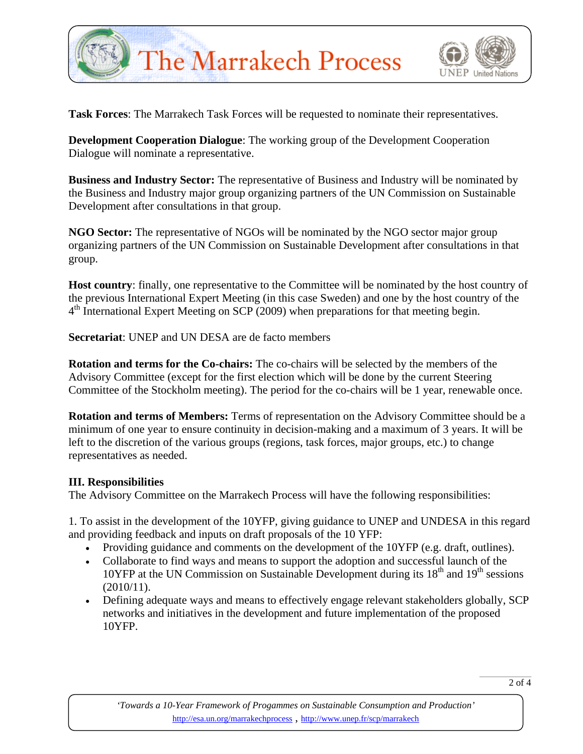



**Task Forces**: The Marrakech Task Forces will be requested to nominate their representatives.

**Development Cooperation Dialogue**: The working group of the Development Cooperation Dialogue will nominate a representative.

**Business and Industry Sector:** The representative of Business and Industry will be nominated by the Business and Industry major group organizing partners of the UN Commission on Sustainable Development after consultations in that group.

**NGO Sector:** The representative of NGOs will be nominated by the NGO sector major group organizing partners of the UN Commission on Sustainable Development after consultations in that group.

**Host country**: finally, one representative to the Committee will be nominated by the host country of the previous International Expert Meeting (in this case Sweden) and one by the host country of the  $4<sup>th</sup>$  International Expert Meeting on SCP (2009) when preparations for that meeting begin.

**Secretariat**: UNEP and UN DESA are de facto members

**Rotation and terms for the Co-chairs:** The co-chairs will be selected by the members of the Advisory Committee (except for the first election which will be done by the current Steering Committee of the Stockholm meeting). The period for the co-chairs will be 1 year, renewable once.

**Rotation and terms of Members:** Terms of representation on the Advisory Committee should be a minimum of one year to ensure continuity in decision-making and a maximum of 3 years. It will be left to the discretion of the various groups (regions, task forces, major groups, etc.) to change representatives as needed.

### **III. Responsibilities**

The Advisory Committee on the Marrakech Process will have the following responsibilities:

1. To assist in the development of the 10YFP, giving guidance to UNEP and UNDESA in this regard and providing feedback and inputs on draft proposals of the 10 YFP:

- Providing guidance and comments on the development of the 10YFP (e.g. draft, outlines).
- Collaborate to find ways and means to support the adoption and successful launch of the 10YFP at the UN Commission on Sustainable Development during its  $18<sup>th</sup>$  and  $19<sup>th</sup>$  sessions (2010/11).
- Defining adequate ways and means to effectively engage relevant stakeholders globally, SCP networks and initiatives in the development and future implementation of the proposed 10YFP.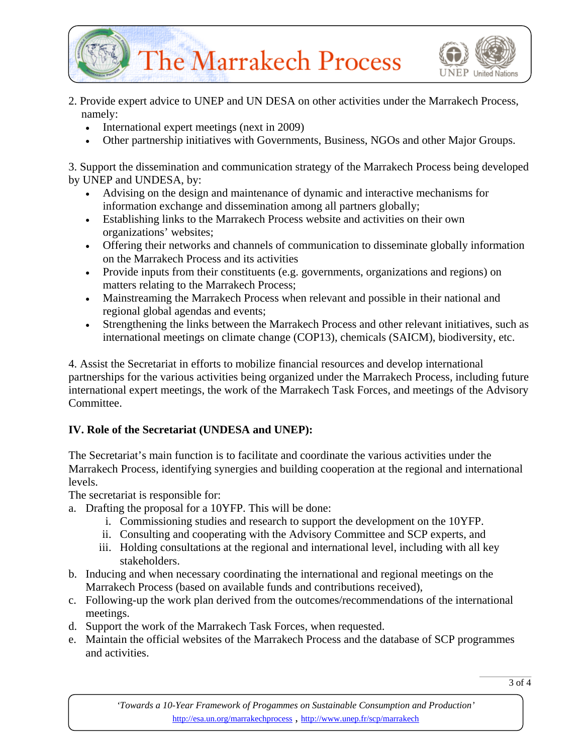



- 2. Provide expert advice to UNEP and UN DESA on other activities under the Marrakech Process, namely:
	- International expert meetings (next in 2009)
	- Other partnership initiatives with Governments, Business, NGOs and other Major Groups.

3. Support the dissemination and communication strategy of the Marrakech Process being developed by UNEP and UNDESA, by:

- Advising on the design and maintenance of dynamic and interactive mechanisms for information exchange and dissemination among all partners globally;
- Establishing links to the Marrakech Process website and activities on their own organizations' websites;
- Offering their networks and channels of communication to disseminate globally information on the Marrakech Process and its activities
- Provide inputs from their constituents (e.g. governments, organizations and regions) on matters relating to the Marrakech Process;
- Mainstreaming the Marrakech Process when relevant and possible in their national and regional global agendas and events;
- Strengthening the links between the Marrakech Process and other relevant initiatives, such as international meetings on climate change (COP13), chemicals (SAICM), biodiversity, etc.

4. Assist the Secretariat in efforts to mobilize financial resources and develop international partnerships for the various activities being organized under the Marrakech Process, including future international expert meetings, the work of the Marrakech Task Forces, and meetings of the Advisory Committee.

# **IV. Role of the Secretariat (UNDESA and UNEP):**

The Secretariat's main function is to facilitate and coordinate the various activities under the Marrakech Process, identifying synergies and building cooperation at the regional and international levels.

The secretariat is responsible for:

- a. Drafting the proposal for a 10YFP. This will be done:
	- i. Commissioning studies and research to support the development on the 10YFP.
	- ii. Consulting and cooperating with the Advisory Committee and SCP experts, and
	- iii. Holding consultations at the regional and international level, including with all key stakeholders.
- b. Inducing and when necessary coordinating the international and regional meetings on the Marrakech Process (based on available funds and contributions received),
- c. Following-up the work plan derived from the outcomes/recommendations of the international meetings.
- d. Support the work of the Marrakech Task Forces, when requested.
- e. Maintain the official websites of the Marrakech Process and the database of SCP programmes and activities.